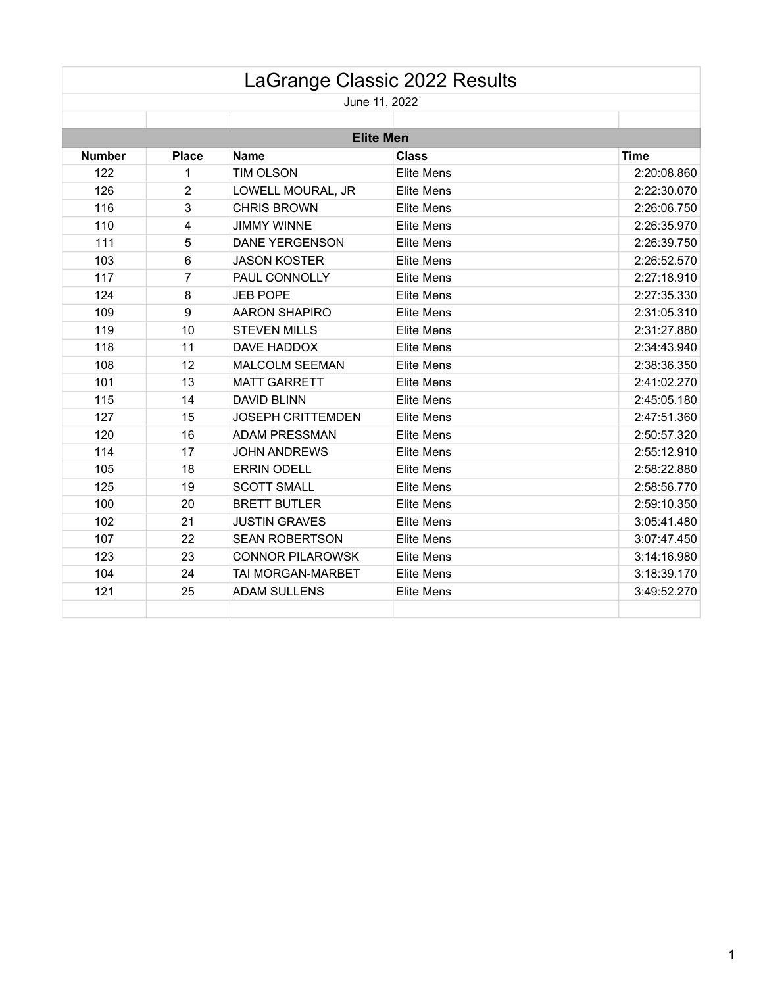|               |              |                          | LaGrange Classic 2022 Results |             |
|---------------|--------------|--------------------------|-------------------------------|-------------|
|               |              |                          | June 11, 2022                 |             |
|               |              |                          |                               |             |
|               |              |                          | <b>Elite Men</b>              |             |
| <b>Number</b> | <b>Place</b> | <b>Name</b>              | <b>Class</b>                  | <b>Time</b> |
| 122           | 1            | TIM OLSON                | <b>Elite Mens</b>             | 2:20:08.860 |
| 126           | 2            | LOWELL MOURAL, JR        | <b>Elite Mens</b>             | 2:22:30.070 |
| 116           | 3            | <b>CHRIS BROWN</b>       | <b>Elite Mens</b>             | 2:26:06.750 |
| 110           | 4            | <b>JIMMY WINNE</b>       | <b>Elite Mens</b>             | 2:26:35.970 |
| 111           | 5            | <b>DANE YERGENSON</b>    | <b>Elite Mens</b>             | 2:26:39.750 |
| 103           | 6            | <b>JASON KOSTER</b>      | <b>Elite Mens</b>             | 2:26:52.570 |
| 117           | 7            | PAUL CONNOLLY            | <b>Elite Mens</b>             | 2:27:18.910 |
| 124           | 8            | <b>JEB POPE</b>          | <b>Elite Mens</b>             | 2:27:35.330 |
| 109           | $9\,$        | <b>AARON SHAPIRO</b>     | <b>Elite Mens</b>             | 2:31:05.310 |
| 119           | 10           | <b>STEVEN MILLS</b>      | <b>Elite Mens</b>             | 2:31:27.880 |
| 118           | 11           | DAVE HADDOX              | <b>Elite Mens</b>             | 2:34:43.940 |
| 108           | 12           | <b>MALCOLM SEEMAN</b>    | <b>Elite Mens</b>             | 2:38:36.350 |
| 101           | 13           | <b>MATT GARRETT</b>      | <b>Elite Mens</b>             | 2:41:02.270 |
| 115           | 14           | <b>DAVID BLINN</b>       | <b>Elite Mens</b>             | 2:45:05.180 |
| 127           | 15           | <b>JOSEPH CRITTEMDEN</b> | <b>Elite Mens</b>             | 2:47:51.360 |
| 120           | 16           | <b>ADAM PRESSMAN</b>     | <b>Elite Mens</b>             | 2:50:57.320 |
| 114           | 17           | <b>JOHN ANDREWS</b>      | <b>Elite Mens</b>             | 2:55:12.910 |
| 105           | 18           | <b>ERRIN ODELL</b>       | <b>Elite Mens</b>             | 2:58:22.880 |
| 125           | 19           | <b>SCOTT SMALL</b>       | <b>Elite Mens</b>             | 2:58:56.770 |
| 100           | 20           | <b>BRETT BUTLER</b>      | <b>Elite Mens</b>             | 2:59:10.350 |
| 102           | 21           | <b>JUSTIN GRAVES</b>     | <b>Elite Mens</b>             | 3:05:41.480 |
| 107           | 22           | <b>SEAN ROBERTSON</b>    | <b>Elite Mens</b>             | 3:07:47.450 |
| 123           | 23           | <b>CONNOR PILAROWSK</b>  | <b>Elite Mens</b>             | 3:14:16.980 |
| 104           | 24           | TAI MORGAN-MARBET        | <b>Elite Mens</b>             | 3:18:39.170 |
| 121           | 25           | <b>ADAM SULLENS</b>      | <b>Elite Mens</b>             | 3:49:52.270 |
|               |              |                          |                               |             |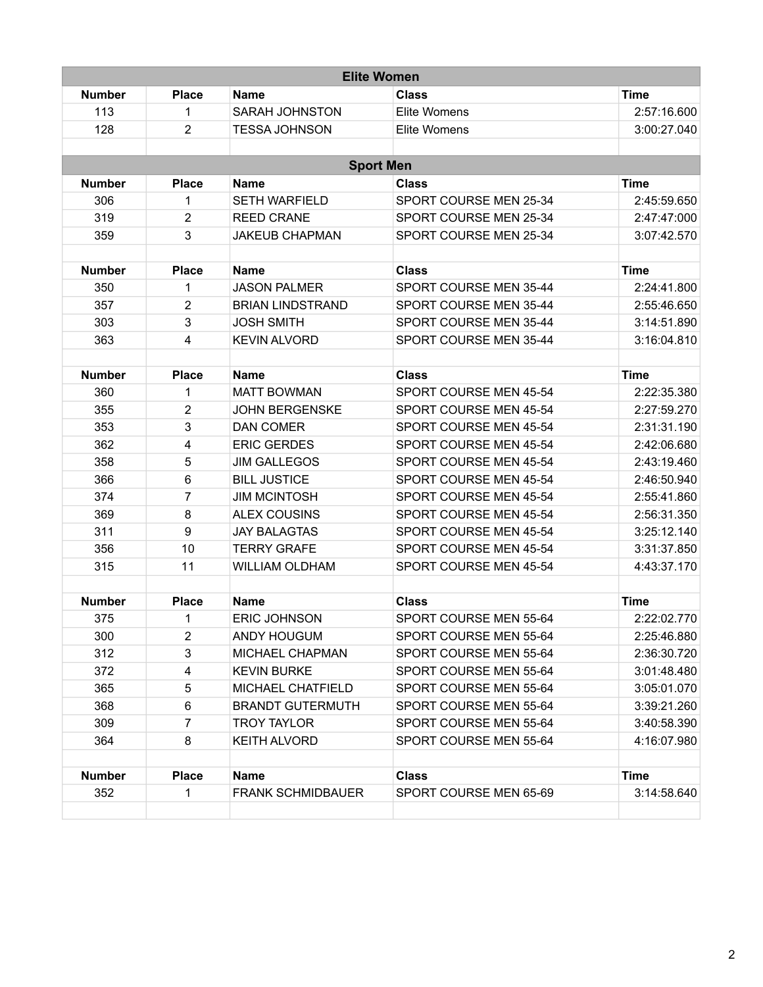| <b>Elite Women</b> |                         |                          |                        |             |  |
|--------------------|-------------------------|--------------------------|------------------------|-------------|--|
| <b>Number</b>      | <b>Place</b>            | Name                     | Class                  | <b>Time</b> |  |
| 113                | 1                       | <b>SARAH JOHNSTON</b>    | Elite Womens           | 2:57:16.600 |  |
| 128                | $\overline{2}$          | <b>TESSA JOHNSON</b>     | Elite Womens           | 3:00:27.040 |  |
|                    |                         |                          |                        |             |  |
|                    |                         |                          | <b>Sport Men</b>       |             |  |
| <b>Number</b>      | <b>Place</b>            | <b>Name</b>              | <b>Class</b>           | <b>Time</b> |  |
| 306                | 1                       | <b>SETH WARFIELD</b>     | SPORT COURSE MEN 25-34 | 2:45:59.650 |  |
| 319                | $\overline{2}$          | <b>REED CRANE</b>        | SPORT COURSE MEN 25-34 | 2:47:47:000 |  |
| 359                | 3                       | <b>JAKEUB CHAPMAN</b>    | SPORT COURSE MEN 25-34 | 3:07:42.570 |  |
|                    |                         |                          |                        |             |  |
| <b>Number</b>      | <b>Place</b>            | <b>Name</b>              | <b>Class</b>           | <b>Time</b> |  |
| 350                | 1                       | <b>JASON PALMER</b>      | SPORT COURSE MEN 35-44 | 2:24:41.800 |  |
| 357                | $\overline{2}$          | <b>BRIAN LINDSTRAND</b>  | SPORT COURSE MEN 35-44 | 2:55:46.650 |  |
| 303                | 3                       | <b>JOSH SMITH</b>        | SPORT COURSE MEN 35-44 | 3:14:51.890 |  |
| 363                | $\overline{4}$          | <b>KEVIN ALVORD</b>      | SPORT COURSE MEN 35-44 | 3:16:04.810 |  |
| <b>Number</b>      | <b>Place</b>            | <b>Name</b>              | <b>Class</b>           | <b>Time</b> |  |
| 360                | $\mathbf{1}$            | <b>MATT BOWMAN</b>       | SPORT COURSE MEN 45-54 | 2:22:35.380 |  |
| 355                | $\overline{2}$          | <b>JOHN BERGENSKE</b>    | SPORT COURSE MEN 45-54 | 2:27:59.270 |  |
| 353                | 3                       | <b>DAN COMER</b>         | SPORT COURSE MEN 45-54 | 2:31:31.190 |  |
| 362                | $\overline{\mathbf{4}}$ | <b>ERIC GERDES</b>       | SPORT COURSE MEN 45-54 | 2:42:06.680 |  |
| 358                | 5                       | <b>JIM GALLEGOS</b>      | SPORT COURSE MEN 45-54 | 2:43:19.460 |  |
| 366                | $6\phantom{1}$          | <b>BILL JUSTICE</b>      | SPORT COURSE MEN 45-54 | 2:46:50.940 |  |
| 374                | $\overline{7}$          | <b>JIM MCINTOSH</b>      | SPORT COURSE MEN 45-54 | 2:55:41.860 |  |
| 369                | 8                       | <b>ALEX COUSINS</b>      | SPORT COURSE MEN 45-54 | 2:56:31.350 |  |
| 311                | $9\,$                   | <b>JAY BALAGTAS</b>      | SPORT COURSE MEN 45-54 | 3:25:12.140 |  |
| 356                | 10                      | <b>TERRY GRAFE</b>       | SPORT COURSE MEN 45-54 | 3:31:37.850 |  |
| 315                | 11                      | <b>WILLIAM OLDHAM</b>    | SPORT COURSE MEN 45-54 | 4:43:37.170 |  |
|                    |                         |                          |                        |             |  |
| <b>Number</b>      | <b>Place</b>            | <b>Name</b>              | <b>Class</b>           | <b>Time</b> |  |
| 375                | 1                       | <b>ERIC JOHNSON</b>      | SPORT COURSE MEN 55-64 | 2:22:02.770 |  |
| 300                | 2                       | ANDY HOUGUM              | SPORT COURSE MEN 55-64 | 2:25:46.880 |  |
| 312                | 3                       | MICHAEL CHAPMAN          | SPORT COURSE MEN 55-64 | 2:36:30.720 |  |
| 372                | $\overline{\mathbf{4}}$ | <b>KEVIN BURKE</b>       | SPORT COURSE MEN 55-64 | 3:01:48.480 |  |
| 365                | 5                       | MICHAEL CHATFIELD        | SPORT COURSE MEN 55-64 | 3:05:01.070 |  |
| 368                | 6                       | <b>BRANDT GUTERMUTH</b>  | SPORT COURSE MEN 55-64 | 3:39:21.260 |  |
| 309                | $\overline{7}$          | <b>TROY TAYLOR</b>       | SPORT COURSE MEN 55-64 | 3:40:58.390 |  |
| 364                | 8                       | <b>KEITH ALVORD</b>      | SPORT COURSE MEN 55-64 | 4:16:07.980 |  |
| <b>Number</b>      | <b>Place</b>            | Name                     | <b>Class</b>           | Time        |  |
| 352                | $\mathbf{1}$            | <b>FRANK SCHMIDBAUER</b> | SPORT COURSE MEN 65-69 | 3:14:58.640 |  |
|                    |                         |                          |                        |             |  |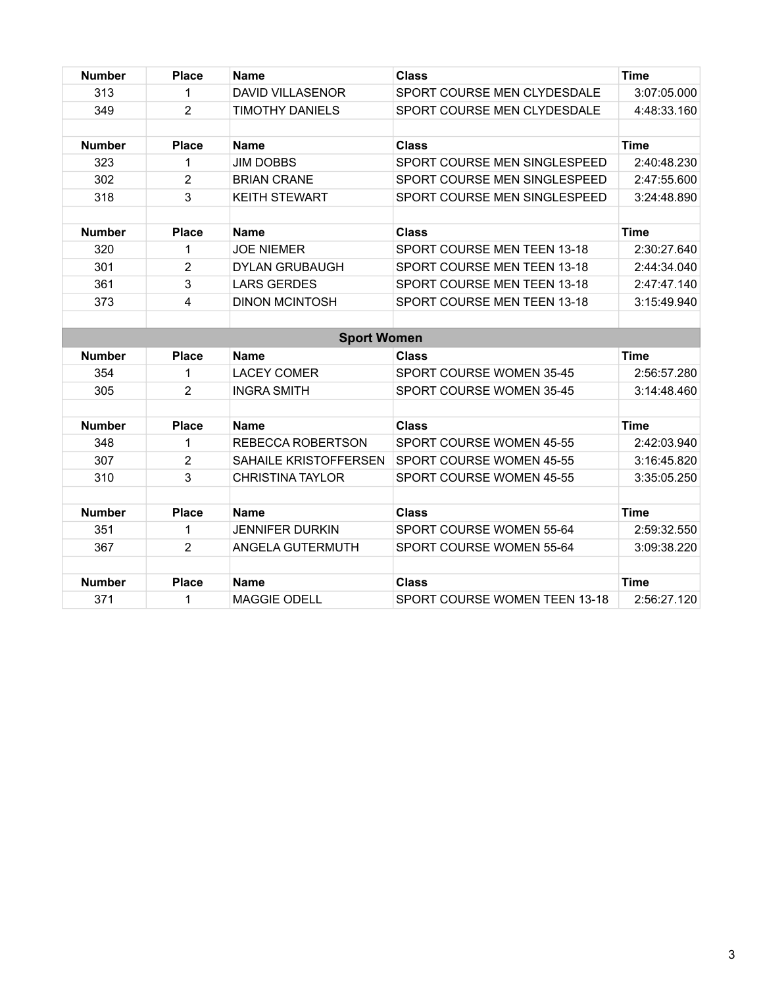| <b>Number</b> | <b>Place</b>   | <b>Name</b>             | <b>Class</b>                  | <b>Time</b> |
|---------------|----------------|-------------------------|-------------------------------|-------------|
| 313           | 1              | <b>DAVID VILLASENOR</b> | SPORT COURSE MEN CLYDESDALE   | 3:07:05.000 |
| 349           | $\overline{2}$ | <b>TIMOTHY DANIELS</b>  | SPORT COURSE MEN CLYDESDALE   | 4:48:33.160 |
|               |                |                         |                               |             |
| <b>Number</b> | <b>Place</b>   | <b>Name</b>             | <b>Class</b>                  | <b>Time</b> |
| 323           | 1              | <b>JIM DOBBS</b>        | SPORT COURSE MEN SINGLESPEED  | 2:40:48.230 |
| 302           | $\overline{2}$ | <b>BRIAN CRANE</b>      | SPORT COURSE MEN SINGLESPEED  | 2:47:55.600 |
| 318           | 3              | <b>KEITH STEWART</b>    | SPORT COURSE MEN SINGLESPEED  | 3:24:48.890 |
|               |                |                         |                               |             |
| <b>Number</b> | <b>Place</b>   | <b>Name</b>             | <b>Class</b>                  | <b>Time</b> |
| 320           | 1              | <b>JOE NIEMER</b>       | SPORT COURSE MEN TEEN 13-18   | 2:30:27.640 |
| 301           | $\overline{2}$ | <b>DYLAN GRUBAUGH</b>   | SPORT COURSE MEN TEEN 13-18   | 2:44:34.040 |
| 361           | 3              | <b>LARS GERDES</b>      | SPORT COURSE MEN TEEN 13-18   | 2:47:47.140 |
| 373           | 4              | <b>DINON MCINTOSH</b>   | SPORT COURSE MEN TEEN 13-18   | 3:15:49.940 |
|               |                |                         |                               |             |
|               |                | <b>Sport Women</b>      |                               |             |
| <b>Number</b> | <b>Place</b>   | <b>Name</b>             | <b>Class</b>                  | <b>Time</b> |
| 354           | 1              | <b>LACEY COMER</b>      | SPORT COURSE WOMEN 35-45      | 2:56:57.280 |
| 305           | $\overline{2}$ | <b>INGRA SMITH</b>      | SPORT COURSE WOMEN 35-45      | 3:14:48.460 |
|               |                |                         |                               |             |
| <b>Number</b> | <b>Place</b>   | <b>Name</b>             | <b>Class</b>                  | <b>Time</b> |
| 348           | $\mathbf{1}$   | REBECCA ROBERTSON       | SPORT COURSE WOMEN 45-55      | 2:42:03.940 |
| 307           | $\overline{2}$ | SAHAILE KRISTOFFERSEN   | SPORT COURSE WOMEN 45-55      | 3:16:45.820 |
| 310           | 3              | <b>CHRISTINA TAYLOR</b> | SPORT COURSE WOMEN 45-55      | 3:35:05.250 |
|               |                |                         |                               |             |
| <b>Number</b> | <b>Place</b>   | <b>Name</b>             | <b>Class</b>                  | <b>Time</b> |
| 351           | $\mathbf{1}$   | <b>JENNIFER DURKIN</b>  | SPORT COURSE WOMEN 55-64      | 2:59:32.550 |
| 367           | 2              | ANGELA GUTERMUTH        | SPORT COURSE WOMEN 55-64      | 3:09:38.220 |
|               |                |                         |                               |             |
| <b>Number</b> | <b>Place</b>   | <b>Name</b>             | <b>Class</b>                  | <b>Time</b> |
| 371           | 1              | <b>MAGGIE ODELL</b>     | SPORT COURSE WOMEN TEEN 13-18 | 2:56:27.120 |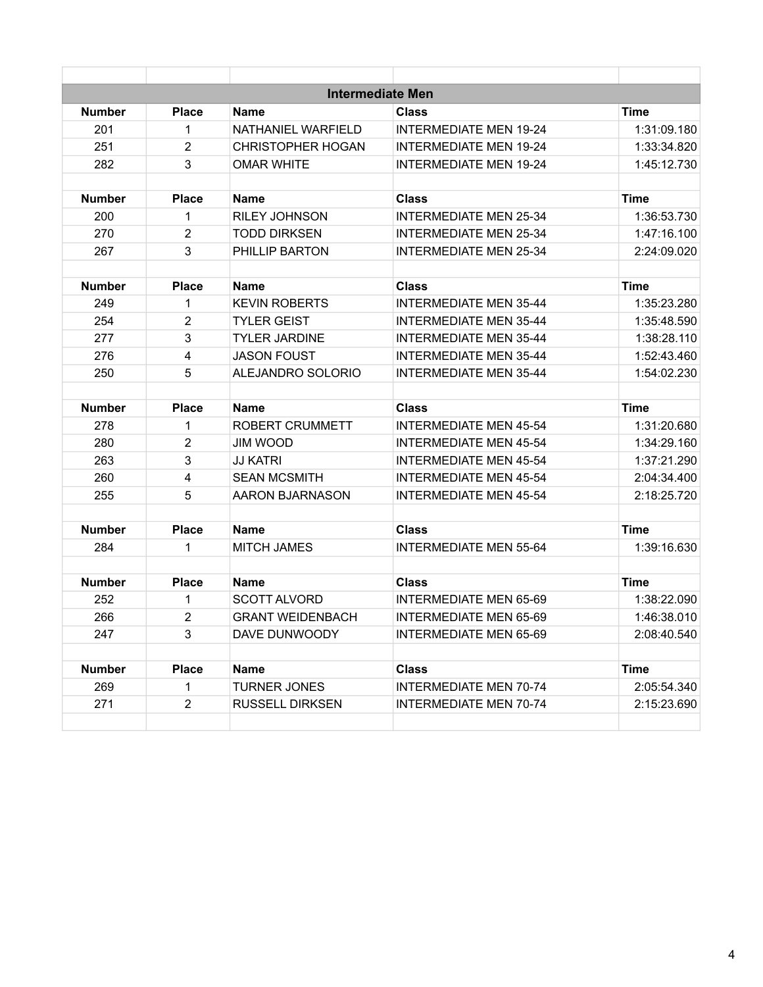|               |                         |                          | <b>Intermediate Men</b>       |             |
|---------------|-------------------------|--------------------------|-------------------------------|-------------|
| Number        | <b>Place</b>            | <b>Name</b>              | <b>Class</b>                  | Time        |
| 201           | $\mathbf{1}$            | NATHANIEL WARFIELD       | <b>INTERMEDIATE MEN 19-24</b> | 1:31:09.180 |
| 251           | $\overline{2}$          | <b>CHRISTOPHER HOGAN</b> | <b>INTERMEDIATE MEN 19-24</b> | 1:33:34.820 |
| 282           | 3                       | <b>OMAR WHITE</b>        | <b>INTERMEDIATE MEN 19-24</b> | 1:45:12.730 |
| <b>Number</b> | <b>Place</b>            | Name                     | <b>Class</b>                  | <b>Time</b> |
| 200           | $\mathbf{1}$            | <b>RILEY JOHNSON</b>     | <b>INTERMEDIATE MEN 25-34</b> | 1:36:53.730 |
| 270           | $\overline{2}$          | <b>TODD DIRKSEN</b>      | <b>INTERMEDIATE MEN 25-34</b> | 1:47:16.100 |
| 267           | 3                       | PHILLIP BARTON           | <b>INTERMEDIATE MEN 25-34</b> | 2:24:09.020 |
| <b>Number</b> | <b>Place</b>            | <b>Name</b>              | <b>Class</b>                  | <b>Time</b> |
| 249           | 1                       | <b>KEVIN ROBERTS</b>     | <b>INTERMEDIATE MEN 35-44</b> | 1:35:23.280 |
| 254           | $\overline{2}$          | <b>TYLER GEIST</b>       | <b>INTERMEDIATE MEN 35-44</b> | 1:35:48.590 |
| 277           | 3                       | <b>TYLER JARDINE</b>     | <b>INTERMEDIATE MEN 35-44</b> | 1:38:28.110 |
| 276           | $\overline{\mathbf{4}}$ | <b>JASON FOUST</b>       | <b>INTERMEDIATE MEN 35-44</b> | 1:52:43.460 |
| 250           | 5                       | <b>ALEJANDRO SOLORIO</b> | <b>INTERMEDIATE MEN 35-44</b> | 1:54:02.230 |
| <b>Number</b> | <b>Place</b>            | Name                     | <b>Class</b>                  | <b>Time</b> |
| 278           | $\mathbf{1}$            | ROBERT CRUMMETT          | <b>INTERMEDIATE MEN 45-54</b> | 1:31:20.680 |
| 280           | $\overline{2}$          | <b>JIM WOOD</b>          | <b>INTERMEDIATE MEN 45-54</b> | 1:34:29.160 |
| 263           | 3                       | <b>JJ KATRI</b>          | <b>INTERMEDIATE MEN 45-54</b> | 1:37:21.290 |
| 260           | 4                       | <b>SEAN MCSMITH</b>      | <b>INTERMEDIATE MEN 45-54</b> | 2:04:34.400 |
| 255           | 5                       | <b>AARON BJARNASON</b>   | <b>INTERMEDIATE MEN 45-54</b> | 2:18:25.720 |
| <b>Number</b> | <b>Place</b>            | <b>Name</b>              | <b>Class</b>                  | <b>Time</b> |
| 284           | 1                       | <b>MITCH JAMES</b>       | <b>INTERMEDIATE MEN 55-64</b> | 1:39:16.630 |
| <b>Number</b> | <b>Place</b>            | <b>Name</b>              | <b>Class</b>                  | <b>Time</b> |
| 252           | 1                       | <b>SCOTT ALVORD</b>      | <b>INTERMEDIATE MEN 65-69</b> | 1:38:22.090 |
| 266           | $\overline{2}$          | <b>GRANT WEIDENBACH</b>  | <b>INTERMEDIATE MEN 65-69</b> | 1:46:38.010 |
| 247           | 3                       | DAVE DUNWOODY            | <b>INTERMEDIATE MEN 65-69</b> | 2:08:40.540 |
| <b>Number</b> | <b>Place</b>            | <b>Name</b>              | <b>Class</b>                  | <b>Time</b> |
| 269           | $\mathbf{1}$            | TURNER JONES             | <b>INTERMEDIATE MEN 70-74</b> | 2:05:54.340 |
| 271           | $\overline{2}$          | <b>RUSSELL DIRKSEN</b>   | <b>INTERMEDIATE MEN 70-74</b> | 2:15:23.690 |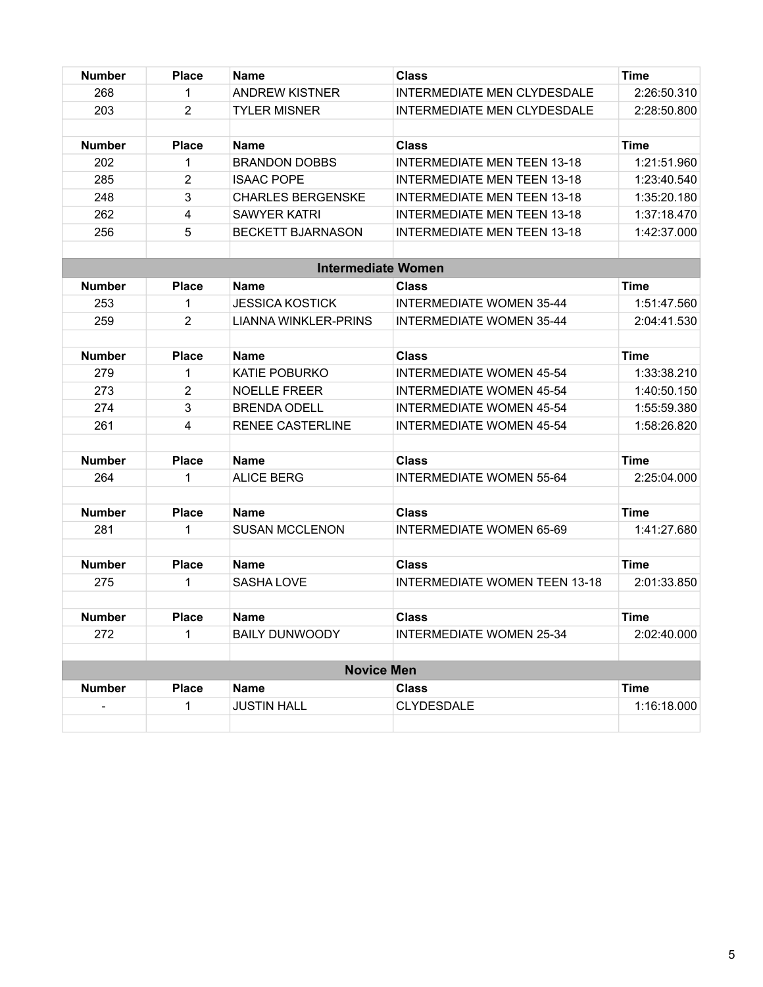| <b>Number</b> | <b>Place</b>   | Name                        | <b>Class</b>                               | <b>Time</b> |
|---------------|----------------|-----------------------------|--------------------------------------------|-------------|
| 268           | 1              | <b>ANDREW KISTNER</b>       | INTERMEDIATE MEN CLYDESDALE<br>2:26:50.310 |             |
| 203           | $\overline{2}$ | <b>TYLER MISNER</b>         | INTERMEDIATE MEN CLYDESDALE<br>2:28:50.800 |             |
|               |                |                             |                                            |             |
| <b>Number</b> | <b>Place</b>   | <b>Name</b>                 | <b>Class</b><br><b>Time</b>                |             |
| 202           | 1              | <b>BRANDON DOBBS</b>        | <b>INTERMEDIATE MEN TEEN 13-18</b>         | 1:21:51.960 |
| 285           | $\overline{2}$ | <b>ISAAC POPE</b>           | <b>INTERMEDIATE MEN TEEN 13-18</b>         | 1:23:40.540 |
| 248           | 3              | <b>CHARLES BERGENSKE</b>    | <b>INTERMEDIATE MEN TEEN 13-18</b>         | 1:35:20.180 |
| 262           | 4              | <b>SAWYER KATRI</b>         | <b>INTERMEDIATE MEN TEEN 13-18</b>         | 1:37:18.470 |
| 256           | 5              | <b>BECKETT BJARNASON</b>    | <b>INTERMEDIATE MEN TEEN 13-18</b>         | 1:42:37.000 |
|               |                | <b>Intermediate Women</b>   |                                            |             |
| <b>Number</b> | <b>Place</b>   | Name                        | <b>Class</b>                               | <b>Time</b> |
| 253           | $\mathbf{1}$   | <b>JESSICA KOSTICK</b>      | <b>INTERMEDIATE WOMEN 35-44</b>            | 1:51:47.560 |
| 259           | 2              | <b>LIANNA WINKLER-PRINS</b> | <b>INTERMEDIATE WOMEN 35-44</b>            | 2:04:41.530 |
|               |                |                             |                                            |             |
| <b>Number</b> | <b>Place</b>   | <b>Name</b>                 | <b>Class</b>                               | <b>Time</b> |
| 279           | 1              | <b>KATIE POBURKO</b>        | <b>INTERMEDIATE WOMEN 45-54</b>            | 1:33:38.210 |
| 273           | $\overline{2}$ | <b>NOELLE FREER</b>         | <b>INTERMEDIATE WOMEN 45-54</b>            | 1:40:50.150 |
| 274           | 3              | <b>BRENDA ODELL</b>         | <b>INTERMEDIATE WOMEN 45-54</b>            | 1:55:59.380 |
| 261           | 4              | <b>RENEE CASTERLINE</b>     | <b>INTERMEDIATE WOMEN 45-54</b>            | 1:58:26.820 |
| <b>Number</b> | <b>Place</b>   | <b>Name</b>                 | <b>Class</b>                               | <b>Time</b> |
| 264           | 1              | <b>ALICE BERG</b>           | <b>INTERMEDIATE WOMEN 55-64</b>            | 2:25:04.000 |
| <b>Number</b> | <b>Place</b>   | <b>Name</b>                 | <b>Class</b>                               | <b>Time</b> |
| 281           | 1              | <b>SUSAN MCCLENON</b>       | <b>INTERMEDIATE WOMEN 65-69</b>            | 1:41:27.680 |
|               |                |                             |                                            |             |
| <b>Number</b> | <b>Place</b>   | <b>Name</b>                 | <b>Class</b>                               | <b>Time</b> |
| 275           | 1              | <b>SASHA LOVE</b>           | <b>INTERMEDIATE WOMEN TEEN 13-18</b>       | 2:01:33.850 |
| <b>Number</b> | <b>Place</b>   | <b>Name</b>                 | <b>Class</b>                               | <b>Time</b> |
| 272           | 1              | <b>BAILY DUNWOODY</b>       | <b>INTERMEDIATE WOMEN 25-34</b>            | 2:02:40.000 |
|               |                | <b>Novice Men</b>           |                                            |             |
| <b>Number</b> | <b>Place</b>   | <b>Name</b>                 | <b>Class</b>                               | <b>Time</b> |
|               | 1              | <b>JUSTIN HALL</b>          | <b>CLYDESDALE</b>                          | 1:16:18.000 |
|               |                |                             |                                            |             |